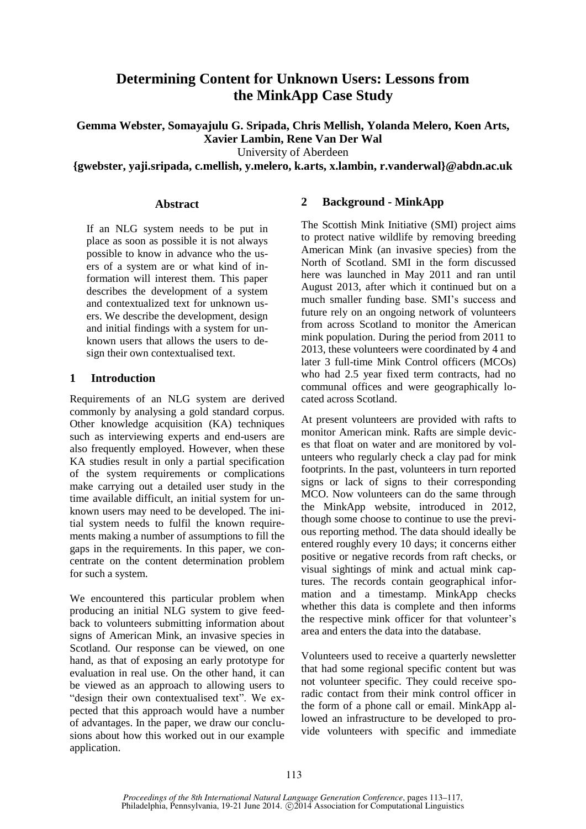# **Determining Content for Unknown Users: Lessons from the MinkApp Case Study**

**Gemma Webster, Somayajulu G. Sripada, Chris Mellish, Yolanda Melero, Koen Arts, Xavier Lambin, Rene Van Der Wal** 

University of Aberdeen

**{gwebster, yaji.sripada, c.mellish, y.melero, k.arts, x.lambin, r.vanderwal}@abdn.ac.uk**

#### **Abstract**

If an NLG system needs to be put in place as soon as possible it is not always possible to know in advance who the users of a system are or what kind of information will interest them. This paper describes the development of a system and contextualized text for unknown users. We describe the development, design and initial findings with a system for unknown users that allows the users to design their own contextualised text.

#### **1 Introduction**

Requirements of an NLG system are derived commonly by analysing a gold standard corpus. Other knowledge acquisition (KA) techniques such as interviewing experts and end-users are also frequently employed. However, when these KA studies result in only a partial specification of the system requirements or complications make carrying out a detailed user study in the time available difficult, an initial system for unknown users may need to be developed. The initial system needs to fulfil the known requirements making a number of assumptions to fill the gaps in the requirements. In this paper, we concentrate on the content determination problem for such a system.

We encountered this particular problem when producing an initial NLG system to give feedback to volunteers submitting information about signs of American Mink, an invasive species in Scotland. Our response can be viewed, on one hand, as that of exposing an early prototype for evaluation in real use. On the other hand, it can be viewed as an approach to allowing users to "design their own contextualised text". We expected that this approach would have a number of advantages. In the paper, we draw our conclusions about how this worked out in our example application.

### **2 Background - MinkApp**

The Scottish Mink Initiative (SMI) project aims to protect native wildlife by removing breeding American Mink (an invasive species) from the North of Scotland. SMI in the form discussed here was launched in May 2011 and ran until August 2013, after which it continued but on a much smaller funding base. SMI's success and future rely on an ongoing network of volunteers from across Scotland to monitor the American mink population. During the period from 2011 to 2013, these volunteers were coordinated by 4 and later 3 full-time Mink Control officers (MCOs) who had 2.5 year fixed term contracts, had no communal offices and were geographically located across Scotland.

At present volunteers are provided with rafts to monitor American mink. Rafts are simple devices that float on water and are monitored by volunteers who regularly check a clay pad for mink footprints. In the past, volunteers in turn reported signs or lack of signs to their corresponding MCO. Now volunteers can do the same through the MinkApp website, introduced in 2012, though some choose to continue to use the previous reporting method. The data should ideally be entered roughly every 10 days; it concerns either positive or negative records from raft checks, or visual sightings of mink and actual mink captures. The records contain geographical information and a timestamp. MinkApp checks whether this data is complete and then informs the respective mink officer for that volunteer's area and enters the data into the database.

Volunteers used to receive a quarterly newsletter that had some regional specific content but was not volunteer specific. They could receive sporadic contact from their mink control officer in the form of a phone call or email. MinkApp allowed an infrastructure to be developed to provide volunteers with specific and immediate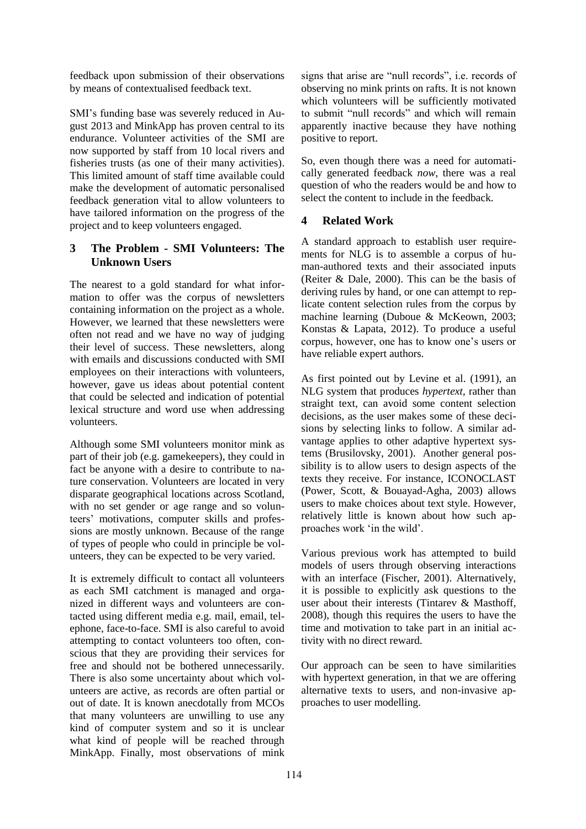feedback upon submission of their observations by means of contextualised feedback text.

SMI's funding base was severely reduced in August 2013 and MinkApp has proven central to its endurance. Volunteer activities of the SMI are now supported by staff from 10 local rivers and fisheries trusts (as one of their many activities). This limited amount of staff time available could make the development of automatic personalised feedback generation vital to allow volunteers to have tailored information on the progress of the project and to keep volunteers engaged.

# **3 The Problem - SMI Volunteers: The Unknown Users**

The nearest to a gold standard for what information to offer was the corpus of newsletters containing information on the project as a whole. However, we learned that these newsletters were often not read and we have no way of judging their level of success. These newsletters, along with emails and discussions conducted with SMI employees on their interactions with volunteers, however, gave us ideas about potential content that could be selected and indication of potential lexical structure and word use when addressing volunteers.

Although some SMI volunteers monitor mink as part of their job (e.g. gamekeepers), they could in fact be anyone with a desire to contribute to nature conservation. Volunteers are located in very disparate geographical locations across Scotland, with no set gender or age range and so volunteers' motivations, computer skills and professions are mostly unknown. Because of the range of types of people who could in principle be volunteers, they can be expected to be very varied.

It is extremely difficult to contact all volunteers as each SMI catchment is managed and organized in different ways and volunteers are contacted using different media e.g. mail, email, telephone, face-to-face. SMI is also careful to avoid attempting to contact volunteers too often, conscious that they are providing their services for free and should not be bothered unnecessarily. There is also some uncertainty about which volunteers are active, as records are often partial or out of date. It is known anecdotally from MCOs that many volunteers are unwilling to use any kind of computer system and so it is unclear what kind of people will be reached through MinkApp. Finally, most observations of mink

signs that arise are "null records", i.e. records of observing no mink prints on rafts. It is not known which volunteers will be sufficiently motivated to submit "null records" and which will remain apparently inactive because they have nothing positive to report.

So, even though there was a need for automatically generated feedback *now*, there was a real question of who the readers would be and how to select the content to include in the feedback.

# **4 Related Work**

A standard approach to establish user requirements for NLG is to assemble a corpus of human-authored texts and their associated inputs (Reiter & Dale, 2000). This can be the basis of deriving rules by hand, or one can attempt to replicate content selection rules from the corpus by machine learning (Duboue & McKeown, 2003; Konstas & Lapata, 2012). To produce a useful corpus, however, one has to know one's users or have reliable expert authors.

As first pointed out by Levine et al. (1991), an NLG system that produces *hypertext,* rather than straight text, can avoid some content selection decisions, as the user makes some of these decisions by selecting links to follow. A similar advantage applies to other adaptive hypertext systems (Brusilovsky, 2001). Another general possibility is to allow users to design aspects of the texts they receive. For instance, ICONOCLAST (Power, Scott, & Bouayad-Agha, 2003) allows users to make choices about text style. However, relatively little is known about how such approaches work 'in the wild'.

Various previous work has attempted to build models of users through observing interactions with an interface (Fischer, 2001). Alternatively, it is possible to explicitly ask questions to the user about their interests (Tintarev & Masthoff, 2008), though this requires the users to have the time and motivation to take part in an initial activity with no direct reward.

Our approach can be seen to have similarities with hypertext generation, in that we are offering alternative texts to users, and non-invasive approaches to user modelling.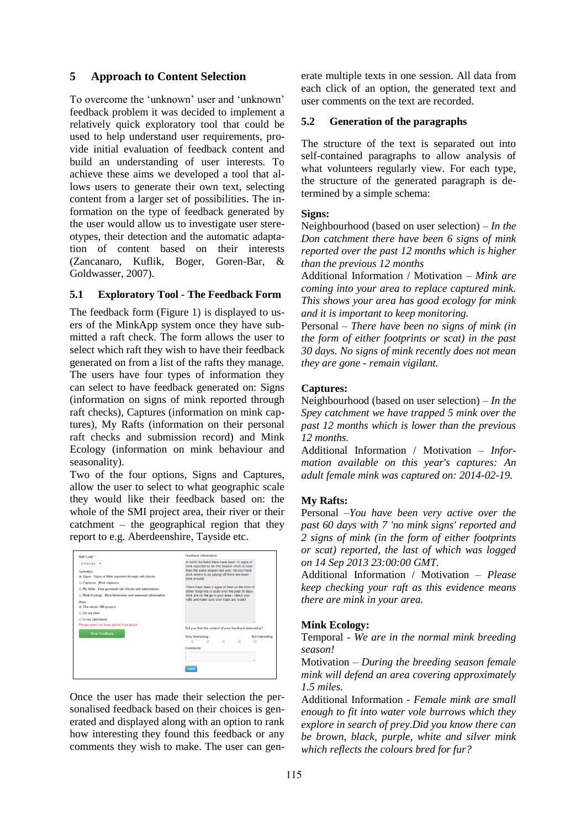# **5 Approach to Content Selection**

To overcome the 'unknown' user and 'unknown' feedback problem it was decided to implement a relatively quick exploratory tool that could be used to help understand user requirements, provide initial evaluation of feedback content and build an understanding of user interests. To achieve these aims we developed a tool that allows users to generate their own text, selecting content from a larger set of possibilities. The information on the type of feedback generated by the user would allow us to investigate user stereotypes, their detection and the automatic adaptation of content based on their interests (Zancanaro, Kuflik, Boger, Goren-Bar, & Goldwasser, 2007).

#### **5.1 Exploratory Tool - The Feedback Form**

The feedback form (Figure 1) is displayed to users of the MinkApp system once they have submitted a raft check. The form allows the user to select which raft they wish to have their feedback generated on from a list of the rafts they manage. The users have four types of information they can select to have feedback generated on: Signs (information on signs of mink reported through raft checks), Captures (information on mink captures), My Rafts (information on their personal raft checks and submission record) and Mink Ecology (information on mink behaviour and seasonality).

Two of the four options, Signs and Captures, allow the user to select to what geographic scale they would like their feedback based on: the whole of the SMI project area, their river or their catchment – the geographical region that they report to e.g. Aberdeenshire, Tayside etc.



Once the user has made their selection the personalised feedback based on their choices is generated and displayed along with an option to rank how interesting they found this feedback or any comments they wish to make. The user can generate multiple texts in one session. All data from each click of an option, the generated text and user comments on the text are recorded.

#### **5.2 Generation of the paragraphs**

The structure of the text is separated out into self-contained paragraphs to allow analysis of what volunteers regularly view. For each type, the structure of the generated paragraph is determined by a simple schema:

#### **Signs:**

Neighbourhood (based on user selection) – *In the Don catchment there have been 6 signs of mink reported over the past 12 months which is higher than the previous 12 months*

Additional Information / Motivation – *Mink are coming into your area to replace captured mink. This shows your area has good ecology for mink and it is important to keep monitoring.*

Personal – *There have been no signs of mink (in the form of either footprints or scat) in the past 30 days. No signs of mink recently does not mean they are gone - remain vigilant.*

#### **Captures:**

Neighbourhood (based on user selection) – *In the Spey catchment we have trapped 5 mink over the past 12 months which is lower than the previous 12 months.*

Additional Information / Motivation – *Information available on this year's captures: An adult female mink was captured on: 2014-02-19.*

#### **My Rafts:**

Personal –*You have been very active over the past 60 days with 7 'no mink signs' reported and 2 signs of mink (in the form of either footprints or scat) reported, the last of which was logged on 14 Sep 2013 23:00:00 GMT.*

Additional Information / Motivation – *Please keep checking your raft as this evidence means there are mink in your area.*

#### **Mink Ecology:**

Temporal - *We are in the normal mink breeding season!* 

Motivation – *During the breeding season female mink will defend an area covering approximately 1.5 miles.* 

Additional Information - *Female mink are small enough to fit into water vole burrows which they explore in search of prey.Did you know there can be brown, black, purple, white and silver mink which reflects the colours bred for fur?*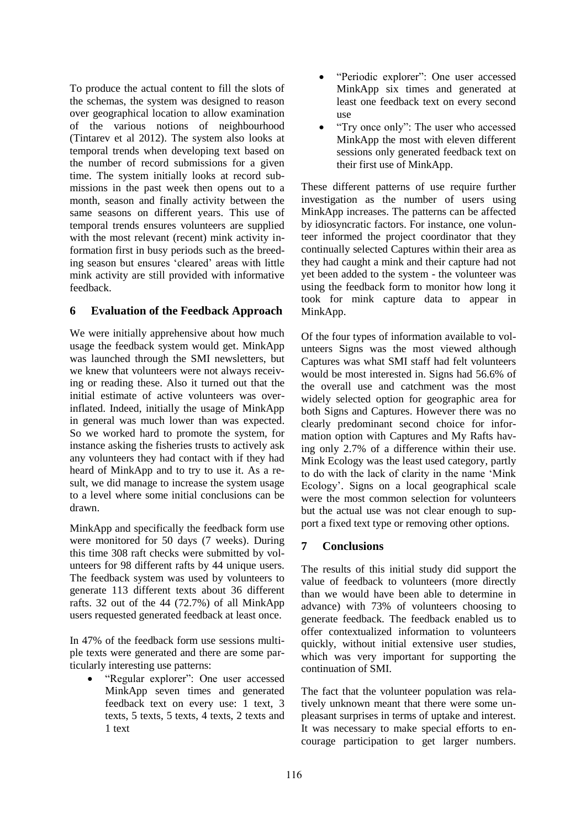To produce the actual content to fill the slots of the schemas, the system was designed to reason over geographical location to allow examination of the various notions of neighbourhood (Tintarev et al 2012). The system also looks at temporal trends when developing text based on the number of record submissions for a given time. The system initially looks at record submissions in the past week then opens out to a month, season and finally activity between the same seasons on different years. This use of temporal trends ensures volunteers are supplied with the most relevant (recent) mink activity information first in busy periods such as the breeding season but ensures 'cleared' areas with little mink activity are still provided with informative feedback.

# **6 Evaluation of the Feedback Approach**

We were initially apprehensive about how much usage the feedback system would get. MinkApp was launched through the SMI newsletters, but we knew that volunteers were not always receiving or reading these. Also it turned out that the initial estimate of active volunteers was overinflated. Indeed, initially the usage of MinkApp in general was much lower than was expected. So we worked hard to promote the system, for instance asking the fisheries trusts to actively ask any volunteers they had contact with if they had heard of MinkApp and to try to use it. As a result, we did manage to increase the system usage to a level where some initial conclusions can be drawn.

MinkApp and specifically the feedback form use were monitored for 50 days (7 weeks). During this time 308 raft checks were submitted by volunteers for 98 different rafts by 44 unique users. The feedback system was used by volunteers to generate 113 different texts about 36 different rafts. 32 out of the 44 (72.7%) of all MinkApp users requested generated feedback at least once.

In 47% of the feedback form use sessions multiple texts were generated and there are some particularly interesting use patterns:

 "Regular explorer": One user accessed MinkApp seven times and generated feedback text on every use: 1 text, 3 texts, 5 texts, 5 texts, 4 texts, 2 texts and 1 text

- "Periodic explorer": One user accessed MinkApp six times and generated at least one feedback text on every second use
- "Try once only": The user who accessed MinkApp the most with eleven different sessions only generated feedback text on their first use of MinkApp.

These different patterns of use require further investigation as the number of users using MinkApp increases. The patterns can be affected by idiosyncratic factors. For instance, one volunteer informed the project coordinator that they continually selected Captures within their area as they had caught a mink and their capture had not yet been added to the system - the volunteer was using the feedback form to monitor how long it took for mink capture data to appear in MinkApp.

Of the four types of information available to volunteers Signs was the most viewed although Captures was what SMI staff had felt volunteers would be most interested in. Signs had 56.6% of the overall use and catchment was the most widely selected option for geographic area for both Signs and Captures. However there was no clearly predominant second choice for information option with Captures and My Rafts having only 2.7% of a difference within their use. Mink Ecology was the least used category, partly to do with the lack of clarity in the name 'Mink Ecology'. Signs on a local geographical scale were the most common selection for volunteers but the actual use was not clear enough to support a fixed text type or removing other options.

# **7 Conclusions**

The results of this initial study did support the value of feedback to volunteers (more directly than we would have been able to determine in advance) with 73% of volunteers choosing to generate feedback. The feedback enabled us to offer contextualized information to volunteers quickly, without initial extensive user studies, which was very important for supporting the continuation of SMI.

The fact that the volunteer population was relatively unknown meant that there were some unpleasant surprises in terms of uptake and interest. It was necessary to make special efforts to encourage participation to get larger numbers.